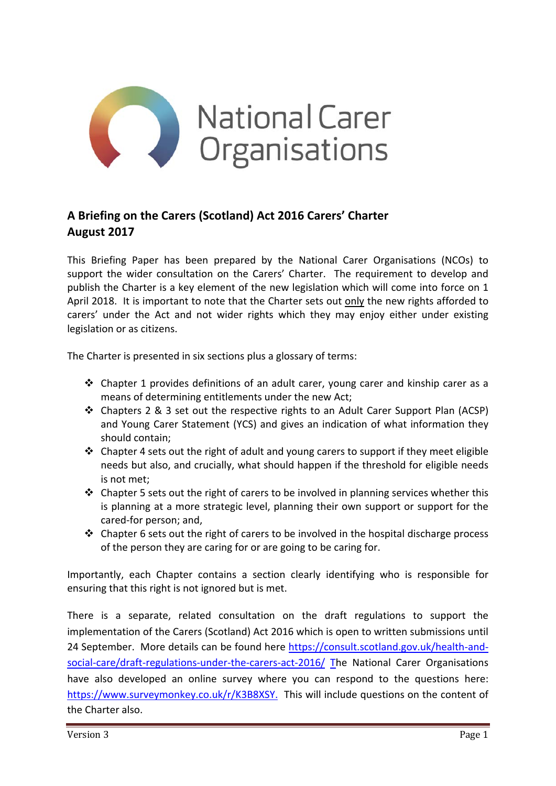

## **A Briefing on the Carers (Scotland) Act 2016 Carers' Charter August 2017**

This Briefing Paper has been prepared by the National Carer Organisations (NCOs) to support the wider consultation on the Carers' Charter. The requirement to develop and publish the Charter is a key element of the new legislation which will come into force on 1 April 2018. It is important to note that the Charter sets out only the new rights afforded to carers' under the Act and not wider rights which they may enjoy either under existing legislation or as citizens.

The Charter is presented in six sections plus a glossary of terms:

- $\div$  Chapter 1 provides definitions of an adult carer, young carer and kinship carer as a means of determining entitlements under the new Act;
- Chapters 2 & 3 set out the respective rights to an Adult Carer Support Plan (ACSP) and Young Carer Statement (YCS) and gives an indication of what information they should contain;
- $\triangle$  Chapter 4 sets out the right of adult and young carers to support if they meet eligible needs but also, and crucially, what should happen if the threshold for eligible needs is not met;
- $\triangleleft$  Chapter 5 sets out the right of carers to be involved in planning services whether this is planning at a more strategic level, planning their own support or support for the cared‐for person; and,
- $\div$  Chapter 6 sets out the right of carers to be involved in the hospital discharge process of the person they are caring for or are going to be caring for.

Importantly, each Chapter contains a section clearly identifying who is responsible for ensuring that this right is not ignored but is met.

There is a separate, related consultation on the draft regulations to support the implementation of the Carers (Scotland) Act 2016 which is open to written submissions until 24 September. More details can be found here https://consult.scotland.gov.uk/health-andsocial-care/draft-regulations-under-the-carers-act-2016/ The National Carer Organisations have also developed an online survey where you can respond to the questions here: https://www.surveymonkey.co.uk/r/K3B8XSY. This will include questions on the content of the Charter also.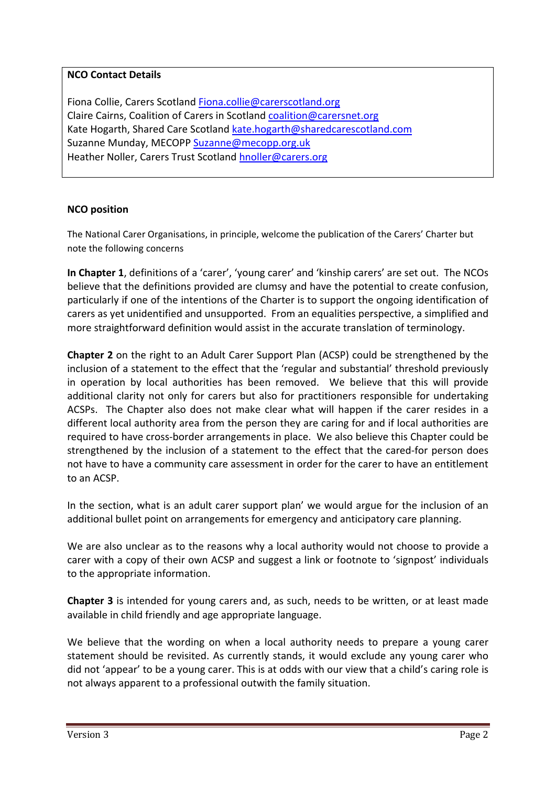## **NCO Contact Details**

Fiona Collie, Carers Scotland Fiona.collie@carerscotland.org Claire Cairns, Coalition of Carers in Scotland coalition@carersnet.org Kate Hogarth, Shared Care Scotland kate.hogarth@sharedcarescotland.com Suzanne Munday, MECOPP Suzanne@mecopp.org.uk Heather Noller, Carers Trust Scotland hnoller@carers.org

## **NCO position**

The National Carer Organisations, in principle, welcome the publication of the Carers' Charter but note the following concerns

**In Chapter 1**, definitions of a 'carer', 'young carer' and 'kinship carers' are set out. The NCOs believe that the definitions provided are clumsy and have the potential to create confusion, particularly if one of the intentions of the Charter is to support the ongoing identification of carers as yet unidentified and unsupported. From an equalities perspective, a simplified and more straightforward definition would assist in the accurate translation of terminology.

**Chapter 2** on the right to an Adult Carer Support Plan (ACSP) could be strengthened by the inclusion of a statement to the effect that the 'regular and substantial' threshold previously in operation by local authorities has been removed. We believe that this will provide additional clarity not only for carers but also for practitioners responsible for undertaking ACSPs. The Chapter also does not make clear what will happen if the carer resides in a different local authority area from the person they are caring for and if local authorities are required to have cross‐border arrangements in place. We also believe this Chapter could be strengthened by the inclusion of a statement to the effect that the cared-for person does not have to have a community care assessment in order for the carer to have an entitlement to an ACSP.

In the section, what is an adult carer support plan' we would argue for the inclusion of an additional bullet point on arrangements for emergency and anticipatory care planning.

We are also unclear as to the reasons why a local authority would not choose to provide a carer with a copy of their own ACSP and suggest a link or footnote to 'signpost' individuals to the appropriate information.

**Chapter 3** is intended for young carers and, as such, needs to be written, or at least made available in child friendly and age appropriate language.

We believe that the wording on when a local authority needs to prepare a young carer statement should be revisited. As currently stands, it would exclude any young carer who did not 'appear' to be a young carer. This is at odds with our view that a child's caring role is not always apparent to a professional outwith the family situation.